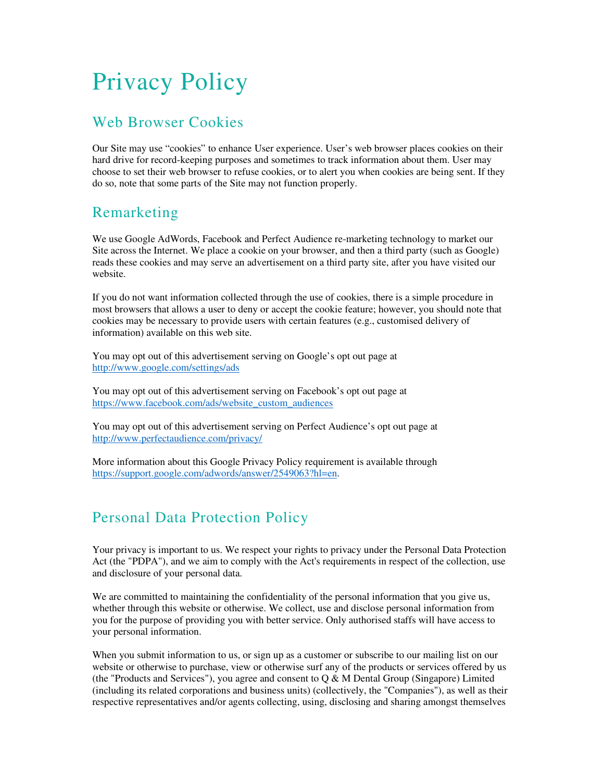# Privacy Policy

# Web Browser Cookies

Our Site may use "cookies" to enhance User experience. User's web browser places cookies on their hard drive for record-keeping purposes and sometimes to track information about them. User may choose to set their web browser to refuse cookies, or to alert you when cookies are being sent. If they do so, note that some parts of the Site may not function properly.

# Remarketing

We use Google AdWords, Facebook and Perfect Audience re-marketing technology to market our Site across the Internet. We place a cookie on your browser, and then a third party (such as Google) reads these cookies and may serve an advertisement on a third party site, after you have visited our website.

If you do not want information collected through the use of cookies, there is a simple procedure in most browsers that allows a user to deny or accept the cookie feature; however, you should note that cookies may be necessary to provide users with certain features (e.g., customised delivery of information) available on this web site.

You may opt out of this advertisement serving on Google's opt out page at http://www.google.com/settings/ads

You may opt out of this advertisement serving on Facebook's opt out page at https://www.facebook.com/ads/website\_custom\_audiences

You may opt out of this advertisement serving on Perfect Audience's opt out page at http://www.perfectaudience.com/privacy/

More information about this Google Privacy Policy requirement is available through https://support.google.com/adwords/answer/2549063?hl=en.

# Personal Data Protection Policy

Your privacy is important to us. We respect your rights to privacy under the Personal Data Protection Act (the "PDPA"), and we aim to comply with the Act's requirements in respect of the collection, use and disclosure of your personal data.

We are committed to maintaining the confidentiality of the personal information that you give us, whether through this website or otherwise. We collect, use and disclose personal information from you for the purpose of providing you with better service. Only authorised staffs will have access to your personal information.

When you submit information to us, or sign up as a customer or subscribe to our mailing list on our website or otherwise to purchase, view or otherwise surf any of the products or services offered by us (the "Products and Services"), you agree and consent to  $Q & M$  Dental Group (Singapore) Limited (including its related corporations and business units) (collectively, the "Companies"), as well as their respective representatives and/or agents collecting, using, disclosing and sharing amongst themselves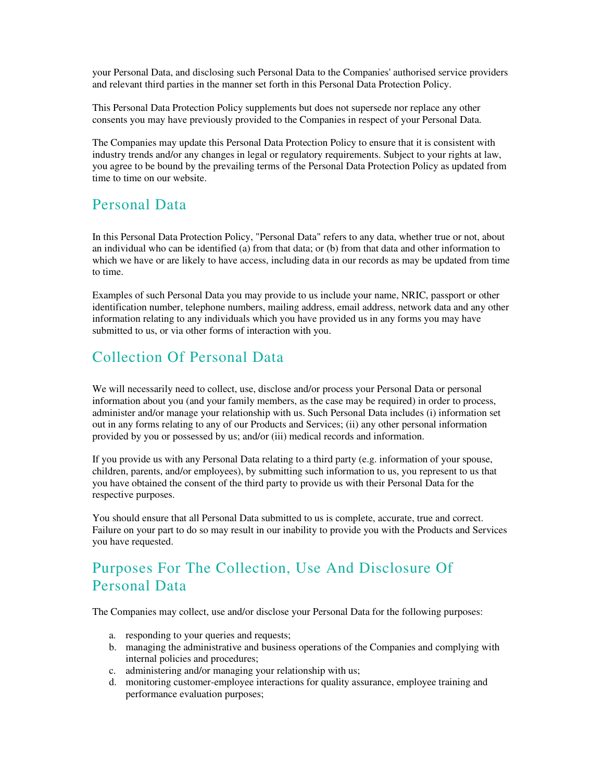your Personal Data, and disclosing such Personal Data to the Companies' authorised service providers and relevant third parties in the manner set forth in this Personal Data Protection Policy.

This Personal Data Protection Policy supplements but does not supersede nor replace any other consents you may have previously provided to the Companies in respect of your Personal Data.

The Companies may update this Personal Data Protection Policy to ensure that it is consistent with industry trends and/or any changes in legal or regulatory requirements. Subject to your rights at law, you agree to be bound by the prevailing terms of the Personal Data Protection Policy as updated from time to time on our website.

#### Personal Data

In this Personal Data Protection Policy, "Personal Data" refers to any data, whether true or not, about an individual who can be identified (a) from that data; or (b) from that data and other information to which we have or are likely to have access, including data in our records as may be updated from time to time.

Examples of such Personal Data you may provide to us include your name, NRIC, passport or other identification number, telephone numbers, mailing address, email address, network data and any other information relating to any individuals which you have provided us in any forms you may have submitted to us, or via other forms of interaction with you.

#### Collection Of Personal Data

We will necessarily need to collect, use, disclose and/or process your Personal Data or personal information about you (and your family members, as the case may be required) in order to process, administer and/or manage your relationship with us. Such Personal Data includes (i) information set out in any forms relating to any of our Products and Services; (ii) any other personal information provided by you or possessed by us; and/or (iii) medical records and information.

If you provide us with any Personal Data relating to a third party (e.g. information of your spouse, children, parents, and/or employees), by submitting such information to us, you represent to us that you have obtained the consent of the third party to provide us with their Personal Data for the respective purposes.

You should ensure that all Personal Data submitted to us is complete, accurate, true and correct. Failure on your part to do so may result in our inability to provide you with the Products and Services you have requested.

# Purposes For The Collection, Use And Disclosure Of Personal Data

The Companies may collect, use and/or disclose your Personal Data for the following purposes:

- a. responding to your queries and requests;
- b. managing the administrative and business operations of the Companies and complying with internal policies and procedures;
- c. administering and/or managing your relationship with us;
- d. monitoring customer-employee interactions for quality assurance, employee training and performance evaluation purposes;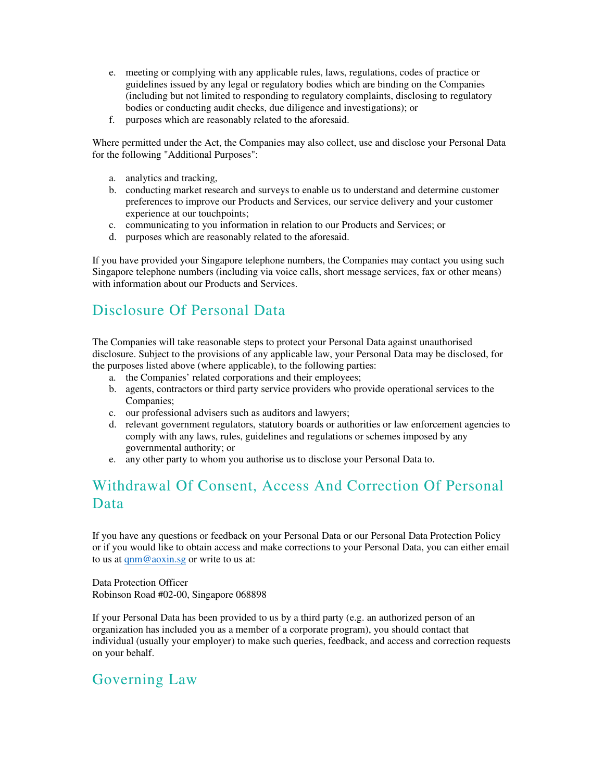- e. meeting or complying with any applicable rules, laws, regulations, codes of practice or guidelines issued by any legal or regulatory bodies which are binding on the Companies (including but not limited to responding to regulatory complaints, disclosing to regulatory bodies or conducting audit checks, due diligence and investigations); or
- f. purposes which are reasonably related to the aforesaid.

Where permitted under the Act, the Companies may also collect, use and disclose your Personal Data for the following "Additional Purposes":

- a. analytics and tracking,
- b. conducting market research and surveys to enable us to understand and determine customer preferences to improve our Products and Services, our service delivery and your customer experience at our touchpoints;
- c. communicating to you information in relation to our Products and Services; or
- d. purposes which are reasonably related to the aforesaid.

If you have provided your Singapore telephone numbers, the Companies may contact you using such Singapore telephone numbers (including via voice calls, short message services, fax or other means) with information about our Products and Services.

# Disclosure Of Personal Data

The Companies will take reasonable steps to protect your Personal Data against unauthorised disclosure. Subject to the provisions of any applicable law, your Personal Data may be disclosed, for the purposes listed above (where applicable), to the following parties:

- a. the Companies' related corporations and their employees;
- b. agents, contractors or third party service providers who provide operational services to the Companies;
- c. our professional advisers such as auditors and lawyers;
- d. relevant government regulators, statutory boards or authorities or law enforcement agencies to comply with any laws, rules, guidelines and regulations or schemes imposed by any governmental authority; or
- e. any other party to whom you authorise us to disclose your Personal Data to.

# Withdrawal Of Consent, Access And Correction Of Personal Data

If you have any questions or feedback on your Personal Data or our Personal Data Protection Policy or if you would like to obtain access and make corrections to your Personal Data, you can either email to us at qnm@aoxin.sg or write to us at:

Data Protection Officer Robinson Road #02-00, Singapore 068898

If your Personal Data has been provided to us by a third party (e.g. an authorized person of an organization has included you as a member of a corporate program), you should contact that individual (usually your employer) to make such queries, feedback, and access and correction requests on your behalf.

# Governing Law